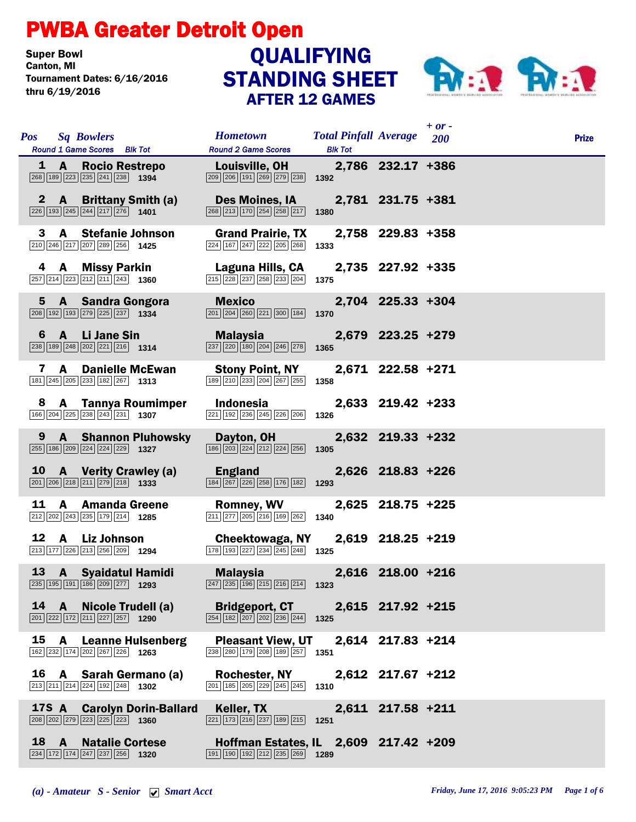## PWBA Greater Detroit Open

**Super Bowl<br>Canton, MI** Tournament Dates: 6/16/2016 thru 6/19/2016

## STANDING SHEET AFTER 12 GAMES **QUALIFYING**



|    |   | <b>Pos</b> Sq Bowlers<br>Round 1 Game Scores Blk Tot                                                                      |                             | <b>Hometown</b><br><b>Round 2 Game Scores</b>                                                                                            | <b>Total Pinfall Average</b> 200<br><b>Blk Tot</b> |                   | $+$ or - | <b>Prize</b> |
|----|---|---------------------------------------------------------------------------------------------------------------------------|-----------------------------|------------------------------------------------------------------------------------------------------------------------------------------|----------------------------------------------------|-------------------|----------|--------------|
|    |   | 1 A Rocio Restrepo<br>$\boxed{268}$ 189 223 235 241 238 1394                                                              |                             | Louisville, OH<br>209 206 191 269 279 238                                                                                                | 1392                                               | 2,786 232.17 +386 |          |              |
|    |   | $\boxed{226}$ 193 245 244 217 276 1401                                                                                    | 2 A Brittany Smith (a)      | <b>Des Moines, IA</b><br>268 213 170 254 258 217                                                                                         | 1380                                               | 2,781 231.75 +381 |          |              |
|    | 3 | A Stefanie Johnson<br>210 246 217 207 289 256 1425                                                                        |                             | <b>Grand Prairie, TX</b><br>224 167 247 222 205 268                                                                                      | 1333                                               | 2,758 229.83 +358 |          |              |
|    |   | 4 A Missy Parkin<br>$\boxed{257}$ $\boxed{214}$ $\boxed{223}$ $\boxed{212}$ $\boxed{211}$ $\boxed{243}$ <b>1360</b>       |                             | Laguna Hills, CA<br>215 228 237 258 233 204                                                                                              | 1375                                               | 2,735 227.92 +335 |          |              |
|    |   | 5 A Sandra Gongora<br>$\boxed{208}$ 192 193 279 225 237 1334                                                              |                             | <b>Mexico Mexico</b><br>$\boxed{201}$ $\boxed{204}$ $\boxed{260}$ $\boxed{221}$ $\boxed{300}$ $\boxed{184}$                              | 1370                                               | 2,704 225.33 +304 |          |              |
|    |   | $\boxed{238}$ 189 $\boxed{248}$ $\boxed{202}$ $\boxed{221}$ $\boxed{216}$ 1314                                            | 6 A Li Jane Sin             | Malaysia <b>Malaysia</b><br>237 220 180 204 246 278                                                                                      | 1365                                               | 2,679 223.25 +279 |          |              |
|    | 7 | <b>A</b> Danielle McEwan<br>$\boxed{181}\boxed{245}\boxed{205}\boxed{233}\boxed{182}\boxed{267}$ 1313                     |                             | <b>Stony Point, NY</b><br>189 210 233 204 267 255                                                                                        | 1358                                               | 2,671 222.58 +271 |          |              |
|    | 8 | $\boxed{166}$ $\boxed{204}$ $\boxed{225}$ $\boxed{238}$ $\boxed{243}$ $\boxed{231}$ <b>1307</b>                           | A Tannya Roumimper          | Indonesia<br>221 192 236 245 226 206                                                                                                     | 1326                                               | 2,633 219.42 +233 |          |              |
|    | 9 | 255 186 209 224 224 229 1327                                                                                              | <b>A</b> Shannon Pluhowsky  | Dayton, OH<br>$\boxed{186}$ $\boxed{203}$ $\boxed{224}$ $\boxed{212}$ $\boxed{224}$ $\boxed{256}$                                        | 1305                                               | 2,632 219.33 +232 |          |              |
|    |   | $\boxed{201}$ $\boxed{206}$ $\boxed{218}$ $\boxed{211}$ $\boxed{279}$ $\boxed{218}$ <b>1333</b>                           | 10 A Verity Crawley (a)     | England<br>184 267 226 258 176 182                                                                                                       | 1293                                               | 2,626 218.83 +226 |          |              |
| 11 |   | <b>A</b> Amanda Greene<br>$\boxed{212}$ $\boxed{202}$ $\boxed{243}$ $\boxed{235}$ $\boxed{179}$ $\boxed{214}$ <b>1285</b> |                             | <b>Romney, WV</b><br>$\boxed{211}$ $\boxed{277}$ $\boxed{205}$ $\boxed{216}$ $\boxed{169}$ $\boxed{262}$ <b>1340</b>                     |                                                    | 2,625 218.75 +225 |          |              |
|    |   | 12 A Liz Johnson<br>213 177 226 213 256 209 1294                                                                          |                             | Cheektowaga, NY<br>178 193 227 234 245 248 1325                                                                                          |                                                    | 2,619 218.25 +219 |          |              |
|    |   | 13 A Syaidatul Hamidi<br>235 195 191 186 209 277 1293                                                                     |                             | Malaysia 2,616 218.00 +216<br>$\boxed{247}$ $\boxed{235}$ 196 215 216 214 1323                                                           |                                                    |                   |          |              |
|    |   | $\boxed{201}$ $\boxed{222}$ $\boxed{172}$ $\boxed{211}$ $\boxed{227}$ $\boxed{257}$ 1290                                  | 14 A Nicole Trudell (a)     | <b>Bridgeport, CT</b><br>254 182 207 202 236 244 1325                                                                                    |                                                    | 2,615 217.92 +215 |          |              |
|    |   | 162 232 174 202 267 226 1263                                                                                              | 15 A Leanne Hulsenberg      | <b>Pleasant View, UT</b><br>$\overline{ 238   280   179   208   189   257 }$ 1351                                                        |                                                    | 2,614 217.83 +214 |          |              |
|    |   | $\boxed{213}$ $\boxed{211}$ $\boxed{214}$ $\boxed{224}$ $\boxed{192}$ $\boxed{248}$ <b>1302</b>                           | 16 A Sarah Germano (a)      | Rochester, NY<br>$\boxed{201}$ 185 $\boxed{205}$ $\boxed{229}$ $\boxed{245}$ $\boxed{245}$ 1310                                          |                                                    | 2,612 217.67 +212 |          |              |
|    |   | $\boxed{208}$ $\boxed{202}$ $\boxed{279}$ $\boxed{223}$ $\boxed{225}$ $\boxed{223}$ <b>1360</b>                           | 17S A Carolyn Dorin-Ballard | Keller, TX<br>$\boxed{221}$ 173 $\boxed{216}$ $\boxed{237}$ 189 $\boxed{215}$ 1251                                                       |                                                    | 2,611 217.58 +211 |          |              |
|    |   | <b>18 A</b> Natalie Cortese<br>234 172 174 247 237 256 1320                                                               |                             | Hoffman Estates, IL 2,609 217.42 +209<br>$\boxed{191}$ $\boxed{190}$ $\boxed{192}$ $\boxed{212}$ $\boxed{235}$ $\boxed{269}$ <b>1289</b> |                                                    |                   |          |              |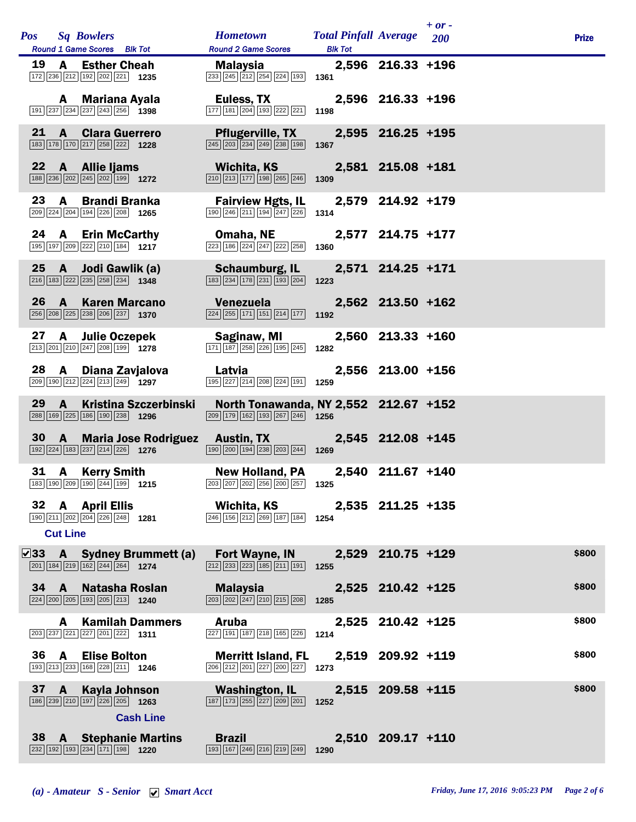|    |                 | <b>Pos</b> Sq Bowlers<br>Round 1 Game Scores Blk Tot                                                                     |                                   | <b>Hometown</b><br><b>Round 2 Game Scores</b>                                                                                                    | <b>Total Pinfall Average</b> 200<br><b>Blk Tot</b> |                   | $+$ or - | <b>Prize</b> |
|----|-----------------|--------------------------------------------------------------------------------------------------------------------------|-----------------------------------|--------------------------------------------------------------------------------------------------------------------------------------------------|----------------------------------------------------|-------------------|----------|--------------|
|    |                 | 19 A Esther Cheah<br>172 236 212 192 202 221 1235                                                                        |                                   | Malaysia <b>Malaysia</b><br>$\boxed{233}$ $\boxed{245}$ $\boxed{212}$ $\boxed{254}$ $\boxed{224}$ $\boxed{193}$ <b>1361</b>                      |                                                    | 2,596 216.33 +196 |          |              |
|    |                 | A Mariana Ayala<br>191 237 234 237 243 256 1398                                                                          |                                   | Euless, TX<br>177 181 204 193 222 221                                                                                                            | 1198                                               | 2,596 216.33 +196 |          |              |
| 21 |                 | <b>A</b> Clara Guerrero<br>183 178 170 217 258 222 1228                                                                  |                                   | <b>Pflugerville, TX</b><br>$\boxed{245}$ $\boxed{203}$ $\boxed{234}$ $\boxed{249}$ $\boxed{238}$ $\boxed{198}$                                   | 1367                                               | 2,595 216.25 +195 |          |              |
|    |                 | 22 A Allie Ijams<br>188 236 202 245 202 199 1272                                                                         |                                   | Wichita, KS<br>210 213 177 198 265 246                                                                                                           | 1309                                               | 2,581 215.08 +181 |          |              |
| 23 |                 | A Brandi Branka<br>209 224 204 194 226 208 1265                                                                          |                                   | <b>Fairview Hgts, IL</b><br>190 246 211 194 247 226                                                                                              | 1314                                               | 2,579 214.92 +179 |          |              |
|    |                 | 24 A Erin McCarthy<br>$\boxed{195}$ $\boxed{197}$ $\boxed{209}$ $\boxed{222}$ $\boxed{210}$ $\boxed{184}$ 1217           |                                   | Omaha, NE 2,577 214.75 +177<br>$\boxed{223}$ $\boxed{186}$ $\boxed{224}$ $\boxed{247}$ $\boxed{222}$ $\boxed{258}$                               | 1360                                               |                   |          |              |
|    |                 | 25 A Jodi Gawlik (a)<br>$\boxed{216}$ 183 222 235 258 234 1348                                                           |                                   | <b>Schaumburg, IL</b><br>183 234 178 231 193 204                                                                                                 | 1223                                               | 2,571 214.25 +171 |          |              |
|    | $26 \quad A$    | <b>Karen Marcano</b><br>256 208 225 238 206 237 1370                                                                     |                                   | <b>Venezuela</b> a construction<br>$\boxed{224}$ $\boxed{255}$ 171 151 214 177 1192                                                              |                                                    | 2,562 213.50 +162 |          |              |
|    |                 | 27 A Julie Oczepek<br>$\boxed{213}\boxed{201}\boxed{210}\boxed{247}\boxed{208}\boxed{199}$ 1278                          |                                   | Saginaw, MI<br>171 187 258 226 195 245                                                                                                           | 1282                                               | 2,560 213.33 +160 |          |              |
| 28 |                 | A Diana Zavjalova<br>209 190 212 224 213 249 1297                                                                        |                                   | <b>Latvia</b> and the same of the same of the same of the same of the same of the same of the same of the same of the<br>195 227 214 208 224 191 | 1259                                               | 2,556 213.00 +156 |          |              |
| 29 | $\mathbf{A}$    | 288 169 225 186 190 238 1296                                                                                             | <b>Kristina Szczerbinski</b>      | North Tonawanda, NY 2,552 212.67 +152<br>$\boxed{209}$ 179 162 193 267 246 1256                                                                  |                                                    |                   |          |              |
| 30 |                 | 192 224 183 237 214 226 1276                                                                                             |                                   | <b>A</b> Maria Jose Rodriguez Austin, TX<br>$\boxed{190}$ $\boxed{200}$ $\boxed{194}$ $\boxed{238}$ $\boxed{203}$ $\boxed{244}$ <b>1269</b>      |                                                    | 2,545 212.08 +145 |          |              |
| 31 |                 | <b>A</b> Kerry Smith<br>183 190 209 190 244 199 1215                                                                     |                                   | <b>New Holland, PA</b><br>203 207 202 256 200 257 1325                                                                                           |                                                    | 2,540 211.67 +140 |          |              |
|    | <b>Cut Line</b> | 32 A April Ellis<br>$\boxed{190}$ $\boxed{211}$ $\boxed{202}$ $\boxed{204}$ $\boxed{226}$ $\boxed{248}$ 1281             |                                   | Wichita, KS<br>246 156 212 269 187 184                                                                                                           | 1254                                               | 2,535 211.25 +135 |          |              |
|    |                 | $\boxed{201}$ 184 $\boxed{219}$ 162 $\boxed{244}$ 264 1274                                                               | $\sqrt{33}$ A Sydney Brummett (a) | Fort Wayne, IN<br>$\boxed{212}$ $\boxed{233}$ $\boxed{223}$ $\boxed{185}$ $\boxed{211}$ $\boxed{191}$                                            | 1255                                               | 2,529 210.75 +129 |          | \$800        |
| 34 | $\mathbf{A}$    | <b>Natasha Roslan</b><br>$\boxed{224}$ $\boxed{200}$ $\boxed{205}$ $\boxed{193}$ $\boxed{205}$ $\boxed{213}$ <b>1240</b> |                                   | Malaysia<br>$\boxed{203}\boxed{202}\boxed{247}\boxed{210}\boxed{215}\boxed{208}$                                                                 | 1285                                               | 2,525 210.42 +125 |          | \$800        |
|    | A               | <b>Kamilah Dammers</b><br>203 237 221 227 201 222 1311                                                                   |                                   | <b>Aruba</b><br>$\boxed{227}$ $\boxed{191}$ $\boxed{187}$ $\boxed{218}$ $\boxed{165}$ $\boxed{226}$                                              | 1214                                               | 2,525 210.42 +125 |          | \$800        |
| 36 | A               | <b>Elise Bolton</b><br>193 213 233 168 228 211 1246                                                                      |                                   | <b>Merritt Island, FL</b><br>206 212 201 227 200 227                                                                                             | 1273                                               | 2,519 209.92 +119 |          | \$800        |
| 37 | $\mathbf{A}$    | <b>Kayla Johnson</b><br>$\boxed{186}$ $\boxed{239}$ $\boxed{210}$ $\boxed{197}$ $\boxed{226}$ $\boxed{205}$ 1263         | <b>Cash Line</b>                  | <b>Washington, IL</b><br>$\boxed{187}$ $\boxed{173}$ $\boxed{255}$ $\boxed{227}$ $\boxed{209}$ $\boxed{201}$                                     | 1252                                               | 2,515 209.58 +115 |          | \$800        |
|    | 38 A            | <b>Stephanie Martins</b><br>232 192 193 234 171 198 1220                                                                 |                                   | <b>Brazil</b><br>$\boxed{193}$ $\boxed{167}$ $\boxed{246}$ $\boxed{216}$ $\boxed{219}$ $\boxed{249}$                                             | 1290                                               | 2,510 209.17 +110 |          |              |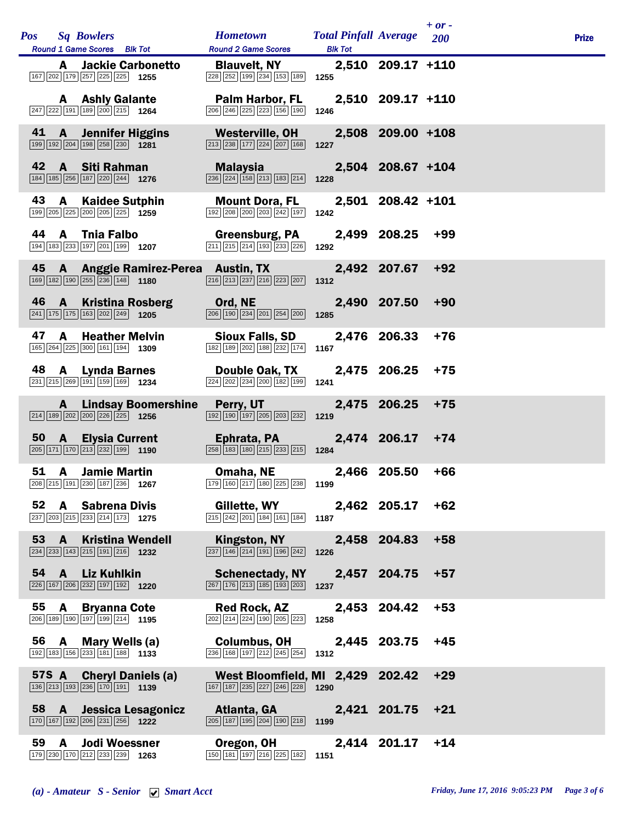|    | <b>Pos</b> Sq Bowlers<br><b>Round 1 Game Scores</b> Blk Tot                                                                  | Hometown Total Pinfall Average 200<br><b>Round 2 Game Scores</b>                                                                          | <b>Blk Tot</b> |                    | $+$ or - | <b>Prize</b> |
|----|------------------------------------------------------------------------------------------------------------------------------|-------------------------------------------------------------------------------------------------------------------------------------------|----------------|--------------------|----------|--------------|
|    | <b>A</b> Jackie Carbonetto<br>$\boxed{167}\boxed{202}\boxed{179}\boxed{257}\boxed{225}\boxed{225}$ 1255                      | <b>Blauvelt, NY</b><br>228 252 199 234 153 189 1255                                                                                       |                | 2,510 209.17 +110  |          |              |
|    | <b>A</b> Ashly Galante<br>$\boxed{247}$ $\boxed{222}$ 191 189 200 215 1264                                                   | Palm Harbor, FL<br>206 246 225 223 156 190                                                                                                | 1246           | 2,510 209.17 +110  |          |              |
| 41 | <b>A</b> Jennifer Higgins<br>$\boxed{199}$ $\boxed{192}$ $\boxed{204}$ $\boxed{198}$ $\boxed{258}$ $\boxed{230}$ <b>1281</b> | <b>Example 10 Westerville, OH</b><br>$\boxed{213}$ $\boxed{238}$ $\boxed{177}$ $\boxed{224}$ $\boxed{207}$ $\boxed{168}$ <b>1227</b>      |                | 2,508 209.00 +108  |          |              |
| 42 | A Siti Rahman<br>$\boxed{184}$ $\boxed{185}$ $\boxed{256}$ $\boxed{187}$ $\boxed{220}$ $\boxed{244}$ <b>1276</b>             | Malaysia <b>Mala</b><br>$\boxed{236}$ $\boxed{224}$ $\boxed{158}$ $\boxed{213}$ $\boxed{183}$ $\boxed{214}$                               | 1228           | 2,504 208.67 +104  |          |              |
|    | 43 A Kaidee Sutphin<br>199 205 225 200 205 225 1259                                                                          | <b>Mount Dora, FL</b><br>192 208 200 203 242 197                                                                                          | 1242           | 2,501 208.42 +101  |          |              |
|    | 44 A Tnia Falbo<br>194 183 233 197 201 199 1207                                                                              | <b>Greensburg, PA</b><br>$\boxed{211}$ $\boxed{215}$ $\boxed{214}$ $\boxed{193}$ $\boxed{233}$ $\boxed{226}$                              | 1292           | 2,499 208.25       | +99      |              |
|    | 169 182 190 255 236 148 1180                                                                                                 | 45 A Anggie Ramirez-Perea Austin, TX<br>$\overline{ 216 } 213  237   216   223   207 $ 1312                                               |                | 2,492 207.67       | $+92$    |              |
|    | $\boxed{241}$ 175 175 163 202 249 1205                                                                                       | 46 A Kristina Rosberg Ord, NE<br>$\overline{206}$ 190 $\overline{234}$ $\overline{201}$ $\overline{254}$ $\overline{200}$ 1285            |                | 2,490 207.50 +90   |          |              |
|    | 47 A Heather Melvin<br>165 264 225 300 161 194 1309                                                                          | Sioux Falls, SD<br>$\boxed{182}$ $\boxed{189}$ $\boxed{202}$ $\boxed{188}$ $\boxed{232}$ $\boxed{174}$                                    | 1167           | 2,476 206.33       | $+76$    |              |
|    | $\boxed{231}$ $\boxed{215}$ $\boxed{269}$ $\boxed{191}$ $\boxed{159}$ $\boxed{169}$ <b>1234</b>                              | 48 A Lynda Barnes Double Oak, TX<br>$\boxed{224}$ $\boxed{202}$ $\boxed{234}$ $\boxed{200}$ $\boxed{182}$ $\boxed{199}$                   | 1241           | 2,475 206.25       | $+75$    |              |
|    | $\boxed{214}$ 189 202 200 226 225 1256                                                                                       | <b>A</b> Lindsay Boomershine Perry, UT<br>$\boxed{192}$ $\boxed{190}$ $\boxed{197}$ $\boxed{205}$ $\boxed{203}$ $\boxed{232}$ <b>1219</b> |                | 2,475 206.25       | $+75$    |              |
|    | $\boxed{205}$ 171 170 213 232 199 1190                                                                                       | 50 A Elysia Current <b>Ephrata, PA</b><br>$\overline{258}$ 183 180 215 233 215 1284                                                       |                | $2,474$ 206.17 +74 |          |              |
| 51 | <b>A</b> Jamie Martin<br>208 215 191 230 187 236 1267                                                                        | Omaha, NE<br>179 160 217 180 225 238 1199                                                                                                 |                | 2,466 205.50       | $+66$    |              |
|    | 52 A Sabrena Divis<br>$\boxed{237}$ $\boxed{203}$ $\boxed{215}$ $\boxed{233}$ $\boxed{214}$ $\boxed{173}$ <b>1275</b>        | Gillette, WY<br>$\boxed{215}$ $\boxed{242}$ $\boxed{201}$ $\boxed{184}$ $\boxed{161}$ $\boxed{184}$ <b>1187</b>                           |                | $2,462$ 205.17 +62 |          |              |
|    | 53 A Kristina Wendell<br>234 233 143 215 191 216 1232                                                                        | <b>Kingston, NY</b><br>$\boxed{237}$ $\boxed{146}$ $\boxed{214}$ $\boxed{191}$ $\boxed{196}$ $\boxed{242}$                                | 1226           | 2,458 204.83       | $+58$    |              |
|    | 54 A Liz Kuhlkin<br>226 167 206 232 197 192 1220                                                                             | <b>Schenectady, NY</b><br>267 176 213 185 193 203                                                                                         | 1237           | 2,457 204.75       | $+57$    |              |
| 55 | A Bryanna Cote<br>$\boxed{206}$ 189 190 197 199 214 1195                                                                     | <b>Red Rock, AZ</b><br>$\boxed{202}$ $\boxed{214}$ $\boxed{224}$ $\boxed{190}$ $\boxed{205}$ $\boxed{223}$                                | 1258           | 2,453 204.42       | $+53$    |              |
|    | 56 A Mary Wells (a)<br>192 183 156 233 181 188 1133                                                                          | Columbus, OH 2,445 203.75<br>$\boxed{236}$ $\boxed{168}$ $\boxed{197}$ $\boxed{212}$ $\boxed{245}$ $\boxed{254}$ 1312                     |                |                    | $+45$    |              |
|    | 57S A Cheryl Daniels (a)<br>$\boxed{136}$ $\boxed{213}$ $\boxed{193}$ $\boxed{236}$ $\boxed{170}$ $\boxed{191}$ <b>1139</b>  | West Bloomfield, MI 2,429 202.42<br>$\boxed{167}$ $\boxed{187}$ $\boxed{235}$ $\boxed{227}$ $\boxed{246}$ $\boxed{228}$ 1290              |                |                    | $+29$    |              |
|    | 58 A Jessica Lesagonicz<br>$\boxed{170}$ $\boxed{167}$ $\boxed{192}$ $\boxed{206}$ $\boxed{231}$ $\boxed{256}$ <b>1222</b>   | Atlanta, GA<br>$\boxed{205}$ 187 195 204 190 218 1199                                                                                     |                | 2,421 201.75       | $+21$    |              |
|    | 59 A Jodi Woessner<br>179 230 170 212 233 239 1263                                                                           | Oregon, OH<br>$\boxed{150}$ $\boxed{181}$ $\boxed{197}$ $\boxed{216}$ $\boxed{225}$ $\boxed{182}$ <b>1151</b>                             |                | 2,414 201.17       | $+14$    |              |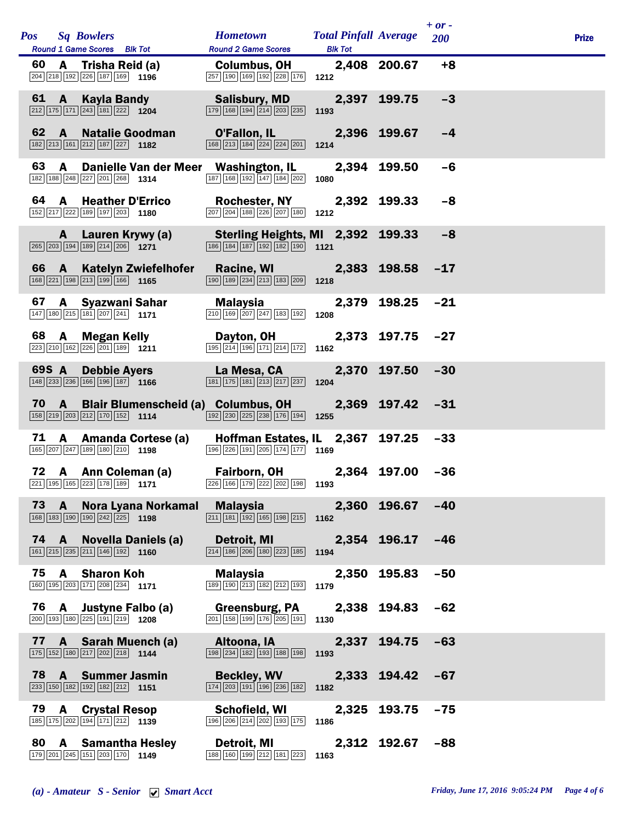|    |          | Pos Sq Bowlers<br>Round 1 Game Scores Blk Tot                                                                                                                                                                           | Hometown Total Pinfall Average 200<br><b>Round 2 Game Scores</b>                                                 | <b>Blk Tot</b> |                  | $+$ or - | <b>Prize</b> |
|----|----------|-------------------------------------------------------------------------------------------------------------------------------------------------------------------------------------------------------------------------|------------------------------------------------------------------------------------------------------------------|----------------|------------------|----------|--------------|
| 60 |          | A Trisha Reid (a) Columbus, OH 2,408 200.67 +8<br>204 218 192 226 187 169 1196                                                                                                                                          | $\boxed{257}$ 190 169 192 228 176 1212                                                                           |                |                  |          |              |
|    |          | 61 A Kayla Bandy Salisbury, MD 2,397 199.75<br>$\boxed{212}$ $\boxed{175}$ $\boxed{171}$ $\boxed{243}$ $\boxed{181}$ $\boxed{222}$ <b>1204</b>                                                                          | $\boxed{179}$ $\boxed{168}$ $\boxed{194}$ $\boxed{214}$ $\boxed{203}$ $\boxed{235}$ <b>1193</b>                  |                |                  | $-3$     |              |
| 62 |          | <b>A</b> Natalie Goodman <b>O'Fallon, IL 2,396 199.67</b><br>213 161 212 187 227 1182 168 213 184 224 224 201 1214<br>$\boxed{182}\boxed{213}\boxed{161}\boxed{212}\boxed{187}\boxed{227}$ 1182                         |                                                                                                                  |                |                  | $-4$     |              |
| 63 | <b>A</b> | Danielle Van der Meer Washington, IL<br>182 188 248 227 201 268 1314                                                                                                                                                    | 187 168 192 147 184 202 1080                                                                                     |                | 2,394 199.50     | $-6$     |              |
|    |          | 64 A Heather D'Errico Rochester, NY 2,392 199.33<br>152 217 222 189 197 203 1180                                                                                                                                        | $\boxed{207}$ $\boxed{204}$ $\boxed{188}$ $\boxed{226}$ $\boxed{207}$ $\boxed{180}$ <b>1212</b>                  |                |                  | $-8$     |              |
|    |          | A Lauren Krywy (a) Sterling Heights, MI 2,392 199.33                                                                                                                                                                    | $\boxed{186}$ $\boxed{184}$ $\boxed{187}$ $\boxed{192}$ $\boxed{182}$ $\boxed{190}$ 1121                         |                |                  | $-8$     |              |
|    |          | 66 A Katelyn Zwiefelhofer Racine, WI 2,383 198.58 -17<br>$\boxed{168}\boxed{221}\boxed{198}\boxed{213}\boxed{199}\boxed{166}$ 1165                                                                                      | $\boxed{190}$ $\boxed{189}$ $\boxed{234}$ $\boxed{213}$ $\boxed{183}$ $\boxed{209}$ 1218                         |                |                  |          |              |
| 67 |          | A Syazwani Sahar Malaysia 1979 198.25 -21<br>147 180 215 181 207 241 1171                                                                                                                                               | $\boxed{210}$ 169 $\boxed{207}$ $\boxed{247}$ 183 192 1208                                                       |                |                  |          |              |
|    |          | 68 A Megan Kelly <b>Dayton, 0H</b> 2,373 197.75 -27<br><sup>[223]</sup> 210] 162] 226] 226] 226] 2271 195 <sup>] 214</sup> [196] <sup>[171]</sup> 214 [172] 1162                                                        | $\boxed{195}\boxed{214}\boxed{196}\boxed{171}\boxed{214}\boxed{172}$ 1162                                        |                |                  |          |              |
|    |          | 69S A Debbie Ayers La Mesa, CA 2,370 197.50 -30<br>$\boxed{148}$ $\boxed{233}$ $\boxed{236}$ $\boxed{166}$ $\boxed{196}$ $\boxed{187}$ <b>1166</b>                                                                      | $\boxed{181}$ $\boxed{175}$ $\boxed{181}$ $\boxed{213}$ $\boxed{217}$ $\boxed{237}$ <b>1204</b>                  |                |                  |          |              |
|    |          | 70 A Blair Blumenscheid (a) Columbus, OH 2,369 197.42 -31<br>$\boxed{158}\boxed{219}\boxed{203}\boxed{212}\boxed{170}\boxed{152}$ 1114                                                                                  | $\boxed{192}$ $\boxed{230}$ $\boxed{225}$ $\boxed{238}$ $\boxed{176}$ $\boxed{194}$ 1255                         |                |                  |          |              |
|    |          | 71 A Amanda Cortese (a) Hoffman Estates, IL 2,367 197.25 -33<br>165 207 247 189 180 210 1198                                                                                                                            | 196 226 191 205 174 177 1169                                                                                     |                |                  |          |              |
|    |          | 72 A Ann Coleman (a)<br>$\boxed{221}$ $\boxed{195}$ $\boxed{165}$ $\boxed{223}$ $\boxed{178}$ $\boxed{189}$ <b>1171</b> $\boxed{226}$ $\boxed{166}$ $\boxed{179}$ $\boxed{222}$ $\boxed{202}$ $\boxed{198}$ <b>1193</b> | Fairborn, OH 2,364 197.00 -36                                                                                    |                |                  |          |              |
|    | 73 A     | Nora Lyana Norkamal Malaysia<br>$\boxed{168}$ $\boxed{183}$ $\boxed{190}$ $\boxed{190}$ $\boxed{242}$ $\boxed{225}$ <b>1198</b>                                                                                         | $\boxed{211}$ $\boxed{181}$ $\boxed{192}$ $\boxed{165}$ $\boxed{198}$ $\boxed{215}$ <b>1162</b>                  |                | 2,360 196.67 -40 |          |              |
|    |          | 74 A Novella Daniels (a)<br>$\boxed{161}$ $\boxed{215}$ $\boxed{235}$ $\boxed{211}$ $\boxed{146}$ $\boxed{192}$ <b>1160</b>                                                                                             | <b>Detroit, MI Detroit</b><br>$\boxed{214}$ 186 $\boxed{206}$ 180 $\boxed{223}$ 185 1194                         |                | 2,354 196.17 -46 |          |              |
|    | 75 A     | <b>Sharon Koh</b><br>160 195 203 171 208 234 171                                                                                                                                                                        | Malaysia<br>$\boxed{189}$ $\boxed{190}$ $\boxed{213}$ $\boxed{182}$ $\boxed{212}$ $\boxed{193}$ <b>1179</b>      |                | 2,350 195.83     | $-50$    |              |
|    |          | 76 A Justyne Falbo (a)<br>$\boxed{200}$ $\boxed{193}$ $\boxed{180}$ $\boxed{225}$ $\boxed{191}$ $\boxed{219}$ <b>1208</b>                                                                                               | <b>Greensburg, PA</b><br>$\boxed{201}$ 158 199 176 205 191 1130                                                  |                | 2,338 194.83 -62 |          |              |
|    |          | 77 A Sarah Muench (a)<br>175 152 180 217 202 218 1144                                                                                                                                                                   | Altoona, IA<br>$\boxed{198}$ $\boxed{234}$ $\boxed{182}$ $\boxed{193}$ $\boxed{188}$ $\boxed{198}$               | 1193           | 2,337 194.75 -63 |          |              |
|    |          | 78 A Summer Jasmin<br>$\boxed{233}$ 150 182 192 182 212 1151                                                                                                                                                            | <b>Beckley, WV</b><br>$\boxed{174}$ $\boxed{203}$ $\boxed{191}$ $\boxed{196}$ $\boxed{236}$ $\boxed{182}$        | 1182           | 2,333 194.42 -67 |          |              |
|    |          | 79 A Crystal Resop<br>185 175 202 194 171 212 1139                                                                                                                                                                      | Schofield, WI<br>$\boxed{196}$ $\boxed{206}$ $\boxed{214}$ $\boxed{202}$ $\boxed{193}$ $\boxed{175}$ <b>1186</b> |                | 2,325 193.75     | $-75$    |              |
|    |          | 80 A Samantha Hesley<br>179 201 245 151 203 170 1149                                                                                                                                                                    | Detroit, MI<br>$\boxed{188}$ $\boxed{160}$ $\boxed{199}$ $\boxed{212}$ $\boxed{181}$ $\boxed{223}$ <b>1163</b>   |                | 2,312 192.67 -88 |          |              |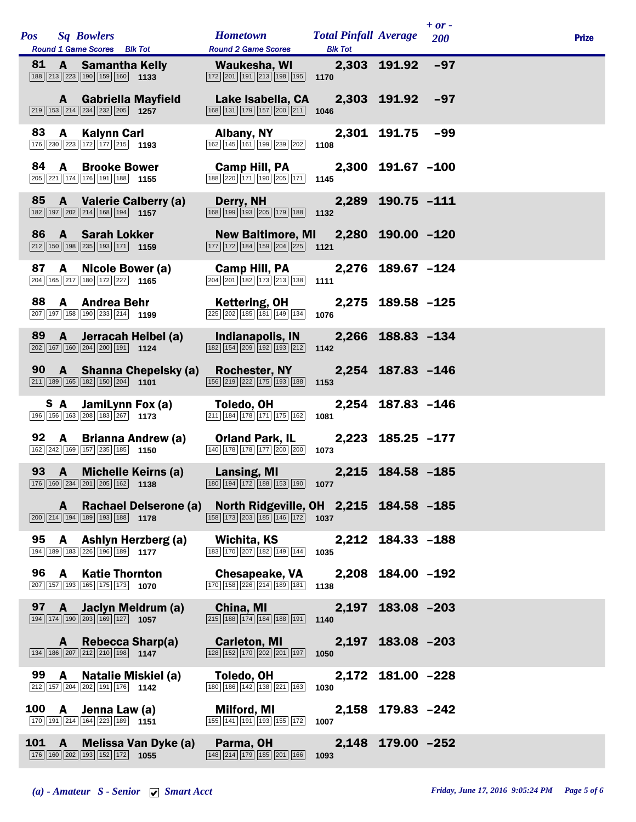|     |              | Pos Sq Bowlers<br>Round 1 Game Scores Blk Tot                                                                             |                                                                                                                               | <b>Hometown Total Pinfall Average</b><br><b>Round 2 Game Scores</b>                                                                                             | <b>Blk Tot</b>    |                   | $+$ or -<br>200 | <b>Prize</b> |
|-----|--------------|---------------------------------------------------------------------------------------------------------------------------|-------------------------------------------------------------------------------------------------------------------------------|-----------------------------------------------------------------------------------------------------------------------------------------------------------------|-------------------|-------------------|-----------------|--------------|
|     |              | $\boxed{188}\boxed{213}\boxed{223}\boxed{190}\boxed{159}\boxed{160}$ 1133                                                 | 81 A Samantha Kelly                                                                                                           | Waukesha, WI 2,303 191.92 -97<br>$\boxed{172}$ $\boxed{201}$ $\boxed{191}$ $\boxed{213}$ $\boxed{198}$ $\boxed{195}$ <b>1170</b>                                |                   |                   |                 |              |
|     |              | <b>A</b> Gabriella Mayfield<br>$\boxed{219}$ 153 214 234 232 205 1257                                                     |                                                                                                                               | Lake Isabella, CA 2,303 191.92 -97<br>$\boxed{168}$ $\boxed{131}$ $\boxed{179}$ $\boxed{157}$ $\boxed{200}$ $\boxed{211}$ <b>1046</b>                           |                   |                   |                 |              |
| 83  |              | A Kalynn Carl<br>176 230 223 172 177 215 1193                                                                             |                                                                                                                               | Albany, NY<br>$\boxed{162}$ $\boxed{145}$ $\boxed{161}$ $\boxed{199}$ $\boxed{239}$ $\boxed{202}$ <b>1108</b>                                                   |                   | 2,301 191.75      | -99             |              |
|     |              | 84 A Brooke Bower<br>205 221 174 176 191 188 1155                                                                         |                                                                                                                               | Camp Hill, PA<br>188 220 171 190 205 171 1145                                                                                                                   |                   | 2,300 191.67 -100 |                 |              |
|     |              | 85 A Valerie Calberry (a)<br>182 197 202 214 168 194 1157                                                                 |                                                                                                                               | Derry, NH<br>168 199 193 205 179 188 1132                                                                                                                       |                   | 2,289 190.75 -111 |                 |              |
|     |              | 86 A Sarah Lokker<br>$\boxed{212}$ 150 198 235 193 171 1159                                                               |                                                                                                                               | New Baltimore, MI 2,280 190.00 -120<br>$\boxed{177}$ $\boxed{172}$ $\boxed{184}$ $\boxed{159}$ $\boxed{204}$ $\boxed{225}$ <b>1121</b>                          |                   |                   |                 |              |
|     |              | 87 A Nicole Bower (a)<br>$\boxed{204}$ 165 $\boxed{217}$ 180 $\boxed{172}$ 227 1165                                       |                                                                                                                               | Camp Hill, PA<br>$\boxed{204}$ $\boxed{201}$ $\boxed{182}$ $\boxed{173}$ $\boxed{213}$ $\boxed{138}$ <b>1111</b>                                                | 2,276 189.67 –124 |                   |                 |              |
| 88  |              | A Andrea Behr<br>207 197 158 190 233 214 1199                                                                             |                                                                                                                               | Kettering, OH   2,275   189.58 -125<br>$\overline{225}$ $\overline{202}$ 185 181 149 134 1076                                                                   |                   |                   |                 |              |
|     |              | 89 A Jerracah Heibel (a)<br>$\boxed{202}$ 167 160 204 200 191 1124                                                        |                                                                                                                               | Indianapolis, IN<br>$\boxed{182}$ $\boxed{154}$ $\boxed{209}$ $\boxed{192}$ $\boxed{193}$ $\boxed{212}$                                                         | 1142              | 2,266 188.83 -134 |                 |              |
|     |              |                                                                                                                           | $\boxed{211}$ 189 165 182 150 204 1101                                                                                        | 90 A Shanna Chepelsky (a) Rochester, NY 2,254 187.83 -146<br>$\boxed{156}$ $\boxed{219}$ $\boxed{222}$ $\boxed{175}$ $\boxed{193}$ $\boxed{188}$                | 1153              |                   |                 |              |
|     |              | <b>S</b> A JamiLynn Fox (a)<br>196 156 163 208 183 267 1173                                                               |                                                                                                                               | Toledo, OH<br>$\boxed{211}$ $\boxed{184}$ $\boxed{178}$ $\boxed{171}$ $\boxed{175}$ $\boxed{162}$                                                               | 1081              | 2,254 187.83 -146 |                 |              |
| 92  |              | A Brianna Andrew (a)<br>162 242 169 157 235 185 1150                                                                      |                                                                                                                               | <b>Orland Park, IL</b><br>140 178 178 177 200 200                                                                                                               | 1073              | 2,223 185.25 -177 |                 |              |
|     | 93 A         |                                                                                                                           | <b>Michelle Keirns (a)</b><br>$\boxed{176}$ $\boxed{160}$ $\boxed{234}$ $\boxed{201}$ $\boxed{205}$ $\boxed{162}$ <b>1138</b> | Lansing, MI 2,215 184.58 -185<br>180 194 172 188 153 190 1077                                                                                                   |                   |                   |                 |              |
|     | A            | $\boxed{200}$ $\boxed{214}$ $\boxed{194}$ $\boxed{189}$ $\boxed{193}$ $\boxed{188}$ <b>1178</b>                           |                                                                                                                               | Rachael Delserone (a) North Ridgeville, OH 2,215 184.58 -185<br>$\boxed{158}$ $\boxed{173}$ $\boxed{203}$ $\boxed{185}$ $\boxed{146}$ $\boxed{172}$ <b>1037</b> |                   |                   |                 |              |
|     |              | 95 A Ashlyn Herzberg (a)<br>194 189 183 226 196 189 177                                                                   |                                                                                                                               | Wichita, KS<br>183 170 207 182 149 144                                                                                                                          | 1035              | 2,212 184.33 -188 |                 |              |
|     | 96 A         | <b>Katie Thornton</b><br>207 157 193 165 175 173 1070                                                                     |                                                                                                                               | <b>Chesapeake, VA</b><br>170 158 226 214 189 181 1138                                                                                                           |                   | 2,208 184.00 -192 |                 |              |
|     | 97 A         | $\boxed{194}$ $\boxed{174}$ $\boxed{190}$ $\boxed{203}$ $\boxed{169}$ $\boxed{127}$ <b>1057</b>                           | Jaclyn Meldrum (a)                                                                                                            | China, MI<br>$\overline{ 215   188   174   184   188   191 }$ 1140                                                                                              |                   | 2,197 183.08 -203 |                 |              |
|     |              | A Rebecca Sharp(a)<br>$\boxed{134}$ $\boxed{186}$ $\boxed{207}$ $\boxed{212}$ $\boxed{210}$ $\boxed{198}$ 1147            |                                                                                                                               | <b>Carleton, MI</b><br>$\boxed{128}$ $\boxed{152}$ $\boxed{170}$ $\boxed{202}$ $\boxed{201}$ $\boxed{197}$                                                      | 1050              | 2,197 183.08 -203 |                 |              |
| 99  | A            | <b>Natalie Miskiel (a)</b><br>$\boxed{212}$ 157 204 202 191 176 1142                                                      |                                                                                                                               | Toledo, OH<br>180 186 142 138 221 163                                                                                                                           | 1030              | 2,172 181.00 -228 |                 |              |
|     |              | 100 A Jenna Law (a)<br>$\boxed{170}$ $\boxed{191}$ $\boxed{214}$ $\boxed{164}$ $\boxed{223}$ $\boxed{189}$ $\boxed{1151}$ |                                                                                                                               | Milford, MI<br>155 141 191 193 155 172 1007                                                                                                                     |                   | 2,158 179.83 -242 |                 |              |
| 101 | $\mathbf{A}$ | 176 160 202 193 152 172 1055                                                                                              | Melissa Van Dyke (a)                                                                                                          | Parma, OH<br>$\boxed{148}\boxed{214}\boxed{179}\boxed{185}\boxed{201}\boxed{166}$ 1093                                                                          |                   | 2,148 179.00 -252 |                 |              |